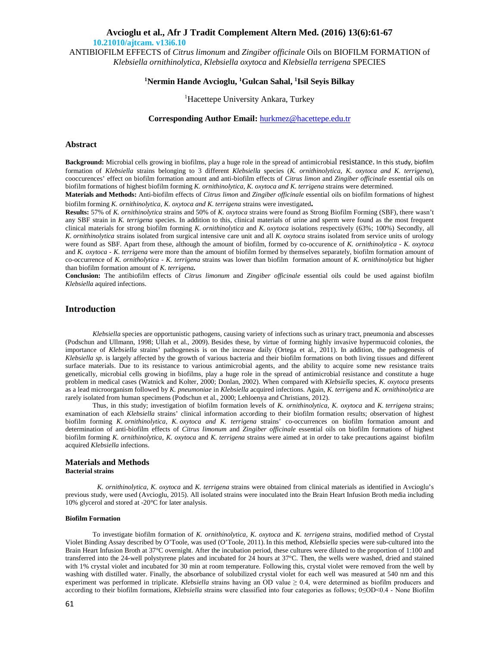# **Avcioglu et al., Afr J Tradit Complement Altern Med. (2016) 13(6):61-67**

## **10.21010/ajtcam. v13i6.10**

ANTIBIOFILM EFFECTS of *Citrus limonum* and *Zingiber officinale* Oils on BIOFILM FORMATION of *Klebsiella ornithinolytica, Klebsiella oxytoca* and *Klebsiella terrigena* SPECIES

# **<sup>1</sup>Nermin Hande Avcioglu, <sup>1</sup>Gulcan Sahal, <sup>1</sup> Isil Seyis Bilkay**

<sup>1</sup>Hacettepe University Ankara, Turkey

## **Corresponding Author Email:** hurkmez@hacettepe.edu.tr

#### **Abstract**

**Background:** Microbial cells growing in biofilms, play a huge role in the spread of antimicrobial resistance. In this study, biofilm formation of *Klebsiella* strains belonging to 3 different *Klebsiella* species (*K. ornithinolytica, K. oxytoca and K. terrigena*), cooccurences' effect on biofilm formation amount and anti-biofilm effects of *Citrus limon* and *Zingiber officinale* essential oils on biofilm formations of highest biofilm forming *K. ornithinolytica, K. oxytoca and K. terrigena* strains were determined.

**Materials and Methods:** Anti-biofilm effects of *Citrus limon* and *Zingiber officinale* essential oils on biofilm formations of highest biofilm forming *K. ornithinolytica, K. oxytoca and K. terrigena* strains were investigated**.**

**Results:** 57% of *K. ornithinolytica* strains and 50% of *K. oxytoca* strains were found as Strong Biofilm Forming (SBF), there wasn't any SBF strain in *K. terrigena* species. In addition to this, clinical materials of urine and sperm were found as the most frequent clinical materials for strong biofilm forming *K. ornithinolytica* and *K. oxytoca* isolations respectively (63%; 100%) Secondly, all *K. ornithinolytica* strains isolated from surgical intensive care unit and all *K. oxytoca* strains isolated from service units of urology were found as SBF. Apart from these, although the amount of biofilm, formed by co-occurence of *K. ornithinolytica* - *K. oxytoca* and *K. oxytoca* - *K. terrigena* were more than the amount of biofilm formed by themselves separately, biofilm formation amount of co-occurrence of *K. ornitholytica* - *K. terrigena* strains was lower than biofilm formation amount of *K. ornithinolytica* but higher than biofilm formation amount of *K. terrigena.*

**Conclusion:** The antibiofilm effects of *Citrus limonum* and *Zingiber officinale* essential oils could be used against biofilm *Klebsiella* aquired infections.

# **Introduction**

*Klebsiella* species are opportunistic pathogens, causing variety of infections such as urinary tract, pneumonia and abscesses (Podschun and Ullmann, 1998; Ullah et al., 2009). Besides these, by virtue of forming highly invasive hypermucoid colonies, the importance of *Klebsiella* strains' pathogenesis is on the increase daily (Ortega et al., 2011). In addition, the pathogenesis of *Klebsiella sp*. is largely affected by the growth of various bacteria and their biofilm formations on both living tissues and different surface materials. Due to its resistance to various antimicrobial agents, and the ability to acquire some new resistance traits genetically, microbial cells growing in biofilms, play a huge role in the spread of antimicrobial resistance and constitute a huge problem in medical cases (Watnick and Kolter, 2000; Donlan, 2002). When compared with *Klebsiella* species, *K. oxytoca* presents as a lead microorganism followed by *K. pneumoniae* in *Klebsiella* acquired infections. Again, *K. terrigena* and *K. ornithinolytica* are rarely isolated from human specimens (Podschun et al., 2000; Lehloenya and Christians, 2012).

Thus, in this study; investigation of biofilm formation levels of *K. ornithinolytica*, *K. oxytoca* and *K. terrigena* strains; examination of each *Klebsiella* strains' clinical information according to their biofilm formation results; observation of highest biofilm forming *K. ornithinolytica, K. oxytoca and K. terrigena* strains' co-occurrences on biofilm formation amount and determination of anti-biofilm effects of *Citrus limonum* and *Zingiber officinale* essential oils on biofilm formations of highest biofilm forming *K. ornithinolytica*, *K. oxytoca* and *K. terrigena* strains were aimed at in order to take precautions against biofilm acquired *Klebsiella* infections.

### **Materials and Methods Bacterial strains**

*K. ornithinolytica, K. oxytoca* and *K. terrigena* strains were obtained from clinical materials as identified in Avcioglu's previous study, were used (Avcioglu, 2015). All isolated strains were inoculated into the Brain Heart Infusion Broth media including 10% glycerol and stored at -20°C for later analysis.

#### **Biofilm Formation**

To investigate biofilm formation of *K. ornithinolytica, K. oxytoca* and *K. terrigena* strains, modified method of Crystal Violet Binding Assay described by O'Toole, was used (O'Toole, 2011). In this method, *Klebsiella* species were sub-cultured into the Brain Heart Infusion Broth at 37°C overnight. After the incubation period, these cultures were diluted to the proportion of 1:100 and transferred into the 24-well polystyrene plates and incubated for 24 hours at 37°C. Then, the wells were washed, dried and stained with 1% crystal violet and incubated for 30 min at room temperature. Following this, crystal violet were removed from the well by washing with distilled water. Finally, the absorbance of solubilized crystal violet for each well was measured at 540 nm and this experiment was performed in triplicate. *Klebsiella* strains having an OD value ≥ 0.4, were determined as biofilm producers and according to their biofilm formations, *Klebsiella* strains were classified into four categories as follows; 0≤OD<0.4 - None Biofilm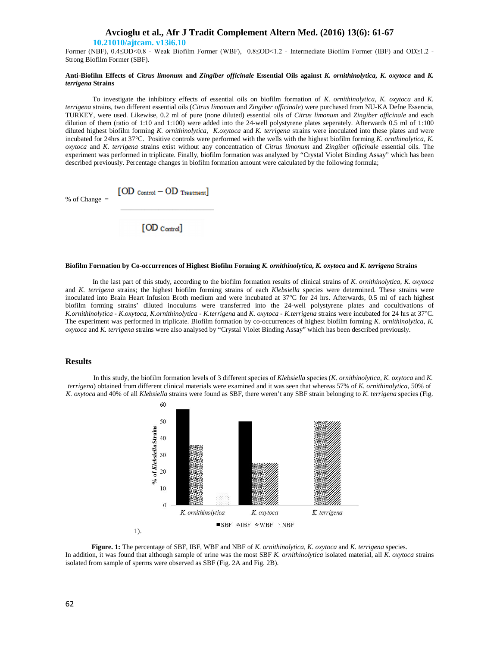# **Avcioglu et al., Afr J Tradit Complement Altern Med. (2016) 13(6): 61-67**

#### **10.21010/ajtcam. v13i6.10**

Former (NBF), 0.4≤OD<0.8 - Weak Biofilm Former (WBF), 0.8≤OD<1.2 - Intermediate Biofilm Former (IBF) and OD≥1.2 - Strong Biofilm Former (SBF).

## **Anti-Biofilm Effects of** *Citrus limonum* **and** *Zingiber officinale* **Essential Oils against** *K. ornithinolytica, K. oxytoca* **and** *K. terrigena* **Strains**

To investigate the inhibitory effects of essential oils on biofilm formation of *K. ornithinolytica*, *K. oxytoca* and *K. terrigena* strains, two different essential oils (*Citrus limonum* and *Zingiber officinale*) were purchased from NU-KA Defne Essencia, TURKEY, were used. Likewise, 0.2 ml of pure (none diluted) essential oils of *Citrus limonum* and *Zingiber officinale* and each dilution of them (ratio of 1:10 and 1:100) were added into the 24-well polystyrene plates seperately. Afterwards 0.5 ml of 1:100 diluted highest biofilm forming *K. ornithinolytica*, *K.oxytoca* and *K. terrigena* strains were inoculated into these plates and were incubated for 24hrs at 37°C. Positive controls were performed with the wells with the highest biofilm forming *K. ornthinolytica, K. oxytoca* and *K. terrigena* strains exist without any concentration of *Citrus limonum* and *Zingiber officinale* essential oils. The experiment was performed in triplicate. Finally, biofilm formation was analyzed by "Crystal Violet Binding Assay" which has been described previously. Percentage changes in biofilm formation amount were calculated by the following formula;



1).

#### **Biofilm Formation by Co-occurrences of Highest Biofilm Forming** *K. ornithinolytica***,** *K. oxytoca* **and** *K. terrigena* **Strains**

In the last part of this study, according to the biofilm formation results of clinical strains of *K. ornithinolytica*, *K. oxytoca* and *K. terrigena* strains; the highest biofilm forming strains of each *Klebsiella* species were determined. These strains were inoculated into Brain Heart Infusion Broth medium and were incubated at 37°C for 24 hrs. Afterwards, 0.5 ml of each highest biofilm forming strains' diluted inoculums were transferred into the 24-well polystyrene plates and cocultivations of *K.ornithinolytica - K.oxytoca*, *K.ornithinolytica - K.terrigena* and *K. oxytoca* - *K.terrigena* strains were incubated for 24 hrs at 37°C. The experiment was performed in triplicate. Biofilm formation by co-occurrences of highest biofilm forming *K. ornithinolytica, K. oxytoca* and *K. terrigena* strains were also analysed by "Crystal Violet Binding Assay" which has been described previously.

#### **Results**

In this study, the biofilm formation levels of 3 different species of *Klebsiella* species (*K. ornithinolytica*, *K. oxytoca* and *K. terrigena*) obtained from different clinical materials were examined and it was seen that whereas 57% of *K. ornithinolytica*, 50% of *K. oxytoca* and 40% of all *Klebsiella* strains were found as SBF, there weren't any SBF strain belonging to *K. terrigena* species (Fig.



**Figure. 1:** The percentage of SBF, IBF, WBF and NBF of *K. ornithinolytica, K. oxytoca* and *K. terrigena* species. In addition, it was found that although sample of urine was the most SBF *K. ornithinolytica* isolated material, all *K. oxytoca* strains isolated from sample of sperms were observed as SBF (Fig. 2A and Fig. 2B).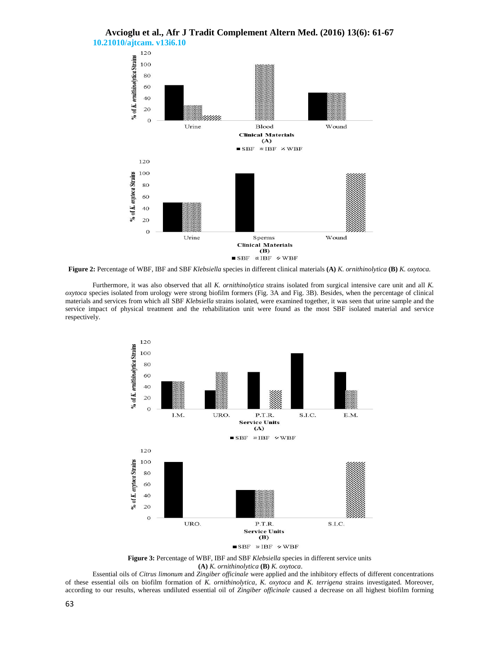

**Avcioglu et al., Afr J Tradit Complement Altern Med. (2016) 13(6): 61-67**

**Figure 2:** Percentage of WBF, IBF and SBF *Klebsiella* species in different clinical materials **(A)** *K. ornithinolytica* **(B)** *K. oxytoca*.

Furthermore, it was also observed that all *K. ornithinolytica* strains isolated from surgical intensive care unit and all *K. oxytoca* species isolated from urology were strong biofilm formers (Fig. 3A and Fig. 3B). Besides, when the percentage of clinical materials and services from which all SBF *Klebsiella* strains isolated, were examined together, it was seen that urine sample and the service impact of physical treatment and the rehabilitation unit were found as the most SBF isolated material and service respectively.



**Figure 3:** Percentage of WBF, IBF and SBF *Klebsiella* species in different service units **(A)** *K. ornithinolytica* **(B)** *K. oxytoca*.

Essential oils of *Citrus limonum* and *Zingiber officinale* were applied and the inhibitory effects of different concentrations of these essential oils on biofilm formation of *K. ornithinolytica*, *K. oxytoca* and *K. terrigena* strains investigated. Moreover, according to our results, whereas undiluted essential oil of *Zingiber officinale* caused a decrease on all highest biofilm forming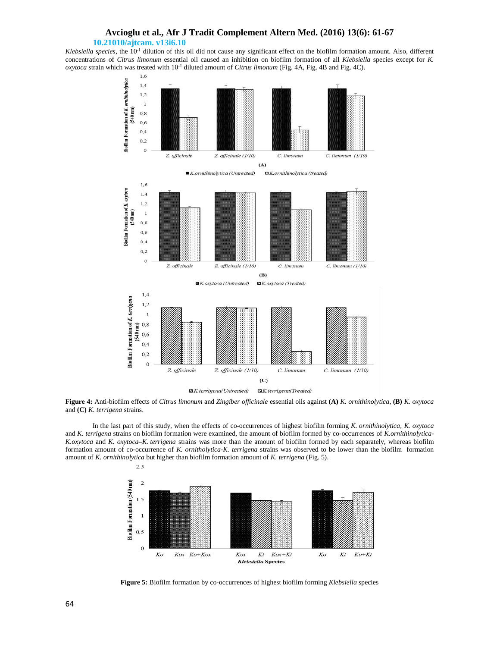# **Avcioglu et al., Afr J Tradit Complement Altern Med. (2016) 13(6): 61-67 10.21010/ajtcam. v13i6.10**

*Klebsiella species*, the  $10^{-1}$  dilution of this oil did not cause any significant effect on the biofilm formation amount. Also, different concentrations of *Citrus limonum* essential oil caused an inhibition on biofilm formation of all *Klebsiella* species except for *K. oxytoca* strain which was treated with 10-1 diluted amount of *Citrus limonum* (Fig. 4A, Fig. 4B and Fig. 4C).



**Figure 4:** Anti-biofilm effects of *Citrus limonum* and *Zingiber officinale* essential oils against **(A)** *K. ornithinolytica*, **(B)** *K. oxytoca* and **(C)** *K. terrigena* strains.

In the last part of this study, when the effects of co-occurrences of highest biofilm forming *K. ornithinolytica, K. oxytoca* and *K. terrigena* strains on biofilm formation were examined, the amount of biofilm formed by co-occurrences of *K.ornithinolytica*-*K.oxytoca* and *K. oxytoca*–*K. terrigena* strains was more than the amount of biofilm formed by each separately, whereas biofilm formation amount of co-occurrence of *K. ornitholytica*-*K. terrigena* strains was observed to be lower than the biofilm formation amount of *K. ornithinolytica* but higher than biofilm formation amount of *K. terrigena* (Fig. 5).



**Figure 5:** Biofilm formation by co-occurrences of highest biofilm forming *Klebsiella* species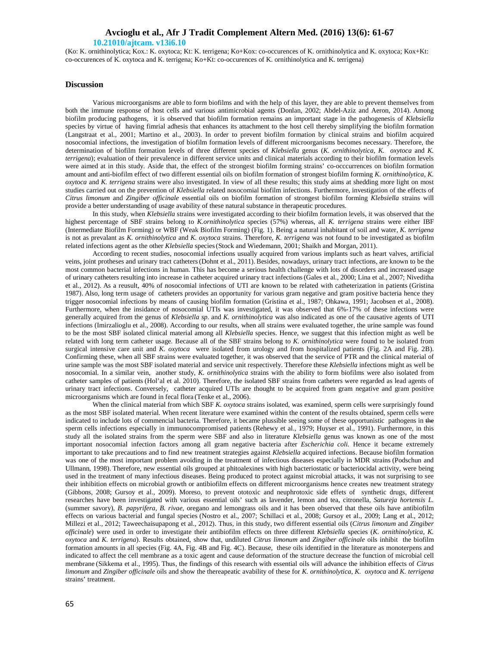# **Avcioglu et al., Afr J Tradit Complement Altern Med. (2016) 13(6): 61-67**

#### **10.21010/ajtcam. v13i6.10**

(Ko: K. ornithinolytica; Kox.: K. oxytoca; Kt: K. terrigena; Ko+Kox: co-occurences of K. ornithinolytica and K. oxytoca; Kox+Kt: co-occurences of K. oxytoca and K. terrigena; Ko+Kt: co-occurences of K. ornithinolytica and K. terrigena)

# **Discussion**

Various microorganisms are able to form biofilms and with the help of this layer, they are able to prevent themselves from both the immune response of host cells and various antimicrobial agents (Donlan, 2002; Abdel-Aziz and Aeron, 2014). Among biofilm producing pathogens, it is observed that biofilm formation remains an important stage in the pathogenesis of *Klebsiella* species by virtue of having fimrial adhesis that enhances its attachment to the host cell thereby simplifying the biofilm formation (Langstraat et al., 2001; Martino et al., 2003). In order to prevent biofilm formation by clinical strains and biofilm acquired nosocomial infections, the investigation of biofilm formation levels of different microorganisms becomes necessary. Therefore, the determination of biofilm formation levels of three different species of *Klebsiella* genus (*K. ornithinolytica*, *K. oxytoca* and *K. terrigena*); evaluation of their prevalence in different service units and clinical materials according to their biofilm formation levels were aimed at in this study. Aside that, the effect of the strongest biofilm forming strains' co-occcurrences on biofilm formation amount and anti-biofilm effect of two different essential oils on biofilm formation of strongest biofilm forming *K. ornithinolytica*, *K. oxytoca* and *K. terrigena* strains were also investigated. In view of all these results; this study aims at shedding more light on most studies carried out on the prevention of *Klebsiella* related nosocomial biofilm infections. Furthermore, investigation of the effects of *Citrus limonum* and *Zingiber officinale* essential oils on biofilm formation of strongest biofilm forming *Klebsiella* strains will provide a better understanding of usage avability of these natural substance in therapeutic procedures.

In this study, when *Klebsiella* strains were investigated according to their biofilm formation levels, it was observed that the highest percentage of SBF strains belong to *K.ornithinolytica* species (57%) whereas, all *K. terrigena* strains were either IBF (Intermediate Biofilm Forming) or WBF (Weak Biofilm Forming) (Fig. 1). Being a natural inhabitant of soil and water, *K. terrigena* is not as prevalant as *K. ornithinolytica* and *K. oxytoca* strains. Therefore, *K. terrigena* was not found to be investigated as biofilm related infections agent as the other *Klebsiella* species(Stock and Wiedemann, 2001; Shaikh and Morgan, 2011).

According to recent studies, nosocomial infections usually acquired from various implants such as heart valves, artificial veins, joint protheses and urinary tract catheters(Dohnt et al., 2011).Besides, nowadays, urinary tract infections, are known to be the most common bacterial infections in human. This has become a serious health challenge with lots of disorders and increased usage of urinary catheters resulting into increase in catheter acquired urinary tract infections(Gales et al., 2000; Lina et al., 2007; Niveditha et al., 2012). As a reusult, 40% of nosocomial infections of UTI are known to be related with catheterization in patients (Gristina 1987). Also, long term usage of catheters provides an opportunity for various gram negative and gram positive bacteria hence they trigger nosocomial infections by means of causing biofilm formation (Gristina et al., 1987; Ohkawa, 1991; Jacobsen et al., 2008). Furthermore, when the insidance of nosocomial UTIs was investigated, it was observed that 6%-17% of these infections were generally acquired from the genus of *Klebsiella sp.* and *K. ornithinolytica* was also indicated as one of the causative agents of UTI infections (Imirzalioglu et al., 2008). According to our results, when all strains were evaluated together, the urine sample was found to be the most SBF isolated clinical material among all *Klebsiella* species. Hence, we suggest that this infection might as well be related with long term catheter usage. Because all of the SBF strains belong to *K. ornithinolytica* were found to be isolated from surgical intensive care unit and *K. oxytoca* were isolated from urology and from hospitalized patients (Fig. 2A and Fig. 2B). Confirming these, when all SBF strains were evaluated together, it was observed that the service of PTR and the clinical material of urine sample was the most SBF isolated material and service unit respectively. Therefore these *Klebsiella* infections might as well be nosocomial. In a similar vein, another study, *K. ornithinolytica* strains with the ability to form biofilms were also isolated from catheter samples of patients (Hol'al et al. 2010). Therefore, the isolated SBF strains from catheters were regarded as lead agents of urinary tract infections. Conversely, catheter acquired UTIs are thought to be acquired from gram negative and gram positive microorganisms which are found in fecal flora (Tenke et al., 2006).

When the clinical material from which SBF *K. oxytoca* strains isolated, was examined, sperm cells were surprisingly found as the most SBF isolated material. When recent literature were examined within the content of the results obtained, sperm cells were indicated to include lots of commencial bacteria. Therefore, it became plussible seeing some of these opportunistic pathogens in the sperm cells infections especially in immunocompromised patients (Rehewy et al., 1979; Huyser et al., 1991). Furthermore, in this study all the isolated strains from the sperm were SBF and also in literature *Klebsiella* genus was known as one of the most important nosocomial infection factors among all gram negative bacteria after *Escherichia coli.* Hence it became extremely important to take precautions and to find new treatment strategies against *Klebsiella* acquired infections. Because biofilm formation was one of the most important problem avoiding in the treatment of infectious diseases especially in MDR strains (Podschun and Ullmann, 1998). Therefore, new essential oils grouped at phitoalexines with high bacteriostatic or bacteriocidal activity, were being used in the treatment of many infectious diseases. Being produced to protect against microbial attacks, it was not surprising to see their inhibition effects on microbial growth or antibiofilm effects on different microorganisms hence creates new treatment strategy (Gibbons, 2008; Gursoy et al., 2009). Moreso, to prevent ototoxic and neuphrotoxic side effets of synthetic drugs, different researches have been investigated with various essential oils' such as lavender, lemon and tea, citronella, *Satureja hortensis L.* (summer savory), *B. papyrifera, B. rivae,* oregano and lemongrass oils and it has been observed that these oils have antibiofilm effects on various bacterial and fungal species (Nostro et al., 2007; Schillaci et al., 2008; Gursoy et al., 2009; Lang et al., 2012; Millezi et al., 2012; Taweechaisupapong et al., 2012). Thus, in this study, two different essential oils (*Citrus limonum* and *Zingiber officinale*) were used in order to investigate their antibiofilm effects on three different *Klebsiella* species (*K. ornithinolytica*, *K. oxytoca* and *K. terrigena*). Results obtained, show that, undiluted *Citrus limonum* and *Zingiber officinale* oils inhibit the biofilm formation amounts in all species (Fig. 4A, Fig. 4B and Fig. 4C). Because, these oils identified in the literature as monoterpens and indicated to affect the cell membrane as a toxic agent and cause deformation of the structure decrease the function of microbial cell membrane (Sikkema et al., 1995). Thus, the findings of this research with essential oils will advance the inhibition effects of *Citrus limonum* and *Zingiber officinale* oils and show the thereapeatic avability of these for *K. ornithinolytica*, *K. oxytoca* and *K. terrigena* strains' treatment.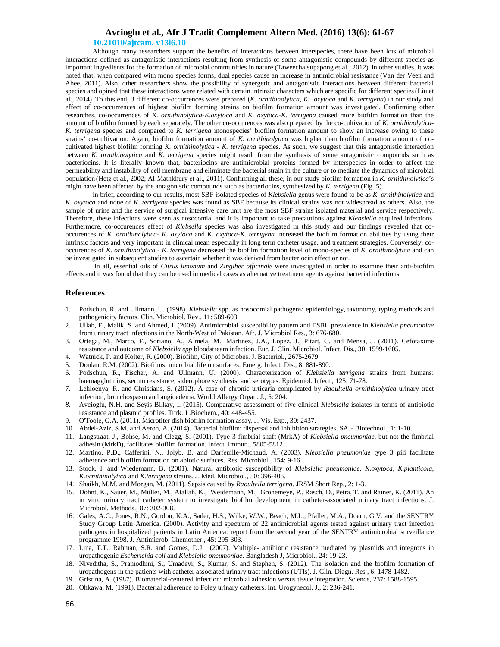## **Avcioglu et al., Afr J Tradit Complement Altern Med. (2016) 13(6): 61-67**

#### **10.21010/ajtcam. v13i6.10**

Although many researchers support the benefits of interactions between interspecies, there have been lots of microbial interactions defined as antagonistic interactions resulting from synthesis of some antagonistic compounds by different species as important ingredients for the formation of microbial communities in nature (Taweechaisupapong et al., 2012). In other studies, it was noted that, when compared with mono species forms, dual species cause an increase in antimicrobial resistance (Van der Veen and Abee, 2011). Also, other researchers show the possibility of synergetic and antagonistic interactions between different bacterial species and opined that these interactions were related with certain intrinsic characters which are specific for different species (Liu et al., 2014). To this end, 3 different co-occurrences were prepared (*K. ornithinolytica*, *K. oxytoca* and *K. terrigena*) in our study and effect of co-occurrences of highest biofilm forming strains on biofilm formation amount was investigated. Confirming other researches, co-occurrences of *K. ornithinolytica*-*K.oxytoca* and *K. oxytoca*-*K. terrigena* caused more biofilm formation than the amount of biofilm formed by each separately. The other co-occurences was also prepared by the co-cultivation of *K. ornithinolytica*-*K. terrigena* species and compared to *K. terrigena* monospecies' biofilm formation amount to show an increase owing to these strains' co-cultivation. Again, biofilm formation amount of *K. ornithinolytica* was higher than biofilm formation amount of cocultivated highest biofilm forming *K. ornithinolytica* - *K. terrigena* species. As such, we suggest that this antagonistic interaction between *K. ornithinolytica* and *K. terrigena* species might result from the synthesis of some antagonistic compounds such as bacteriocins. It is literally known that, bacteriocins are antimicrobial proteins formed by interspecies in order to affect the permeability and instability of cell membrane and eliminate the bacterial strain in the culture or to mediate the dynamics of microbial population (Hetz et al., 2002; Al-Mathkhury et al., 2011). Confirming all these, in our study biofilm formation in *K. ornithinolytica*'s might have been affected by the antagonistic compounds such as bacteriocins, synthesized by *K. terrigena* (Fig. 5).

In brief, according to our results, most SBF isolated species of *Klebsiella* genus were found to be as *K. ornithinolytica* and *K. oxytoca* and none of *K. terrigena* species was found as SBF because its clinical strains was not widespread as others. Also, the sample of urine and the service of surgical intensive care unit are the most SBF strains isolated material and service respectively. Therefore, these infections were seen as nosocomial and it is important to take precautions against *Klebsiella* acquired infections. Furthermore, co-occurences effect of *Klebsella* species was also investigated in this study and our findings revealed that cooccurences of *K. ornithinolytica- K. oxytoca* and *K. oxytoca-K. terrigena* increased the biofilm formation abilities by using their intrinsic factors and very important in clinical mean especially in long term catheter usage, and treatment strategies. Conversely, cooccurences of *K. ornithinolytica* - *K. terrigena* decreased the biofilm formation level of mono-species of *K. ornithinolytica* and can be investigated in subsequent studies to ascertain whether it was derived from bacteriocin effect or not.

In all, essential oils of *Citrus limonum* and *Zingiber officinale* were investigated in order to examine their anti-biofilm effects and it was found that they can be used in medical cases as alternative treatment agents against bacterial infections.

## **References**

- 1. Podschun, R. and Ullmann, U. (1998). *Klebsiella* spp. as nosocomial pathogens: epidemiology, taxonomy, typing methods and pathogenicity factors. Clin. Microbiol. Rev., 11: 589-603.
- 2. Ullah, F., Malik, S. and Ahmed, J. (2009). Antimicrobial susceptibility pattern and ESBL prevalence in *Klebsiella pneumoniae* from urinary tract infections in the North-West of Pakistan. Afr. J. Microbiol Res., 3: 676-680.
- 3. Ortega, M., Marco, F., Soriano, A., Almela, M., Martinez, J.A., Lopez, J., Pitart, C. and Mensa, J. (2011). Cefotaxime resistance and outcome of *Klebsiella spp* bloodstream infection. Eur. J. Clin. Microbiol. Infect. Dis., 30: 1599-1605.
- 4. Watnick, P. and Kolter, R. (2000). Biofilm, City of Microbes. J. Bacteriol*.*, 2675-2679.
- 5. Donlan, R.M. (2002). Biofilms: microbial life on surfaces. Emerg. Infect. Dis., 8: 881-890.
- 6. Podschun, R., Fischer, A. and Ullmann, U. (2000). Characterization of *Klebsiella terrigena* strains from humans: haemagglutinins, serum resistance, siderophore synthesis, and serotypes. Epidemiol. Infect., 125: 71-78.
- 7. Lehloenya, R. and Christians, S. (2012). A case of chronic urticaria complicated by *Raoultella ornithinolytica* urinary tract infection, bronchospasm and angioedema. World Allergy Organ. J., 5: 204.
- *8.* Avcioglu, N.H. and Seyis Bilkay, I. (2015). Comparative assessment of five clinical *Klebsiella* isolates in terms of antibiotic resistance and plasmid profiles. Turk. J .Biochem., 40: 448-455.
- 9. O'Toole, G.A. (2011). Microtiter dish biofilm formation assay. J. Vis. Exp., 30: 2437.
- 10. Abdel-Aziz, S.M. and Aeron, A. (2014). Bacterial biofilm: dispersal and inhibition strategies. SAJ- Biotechnol., 1: 1-10.
- 11. Langstraat, J., Bohse, M. and Clegg, S. (2001). Type 3 fimbrial shaft (MrkA) of *Klebsiella pneumoniae*, but not the fimbrial adhesin (MrkD), facilitates biofilm formation. Infect. Immun., 5805-5812.
- 12. Martino, P.D., Cafferini, N., Jolyb, B. and Darfeuille-Michaud, A. (2003). *Klebsiella pneumoniae* type 3 pili facilitate adherence and biofilm formation on abiotic surfaces. Res. Microbiol., 154: 9-16.
- 13. Stock, I. and Wiedemann, B. (2001). Natural antibiotic susceptibility of *Klebsiella pneumoniae*, *K.oxytoca*, *K.planticola*, *K.ornithinolytica* and *K.terrigena* strains. J. Med. Microbiol*.*, 50: 396-406.
- 14. Shaikh, M.M. and Morgan, M. (2011). Sepsis caused by *Raoultella terrigena*. JRSM Short Rep., 2: 1-3.
- 15. Dohnt, K., Sauer, M., Müller, M., Atallah, K., Weidemann, M., Gronemeye, P., Rasch, D., Petra, T. and Rainer, K. (2011). An in vitro urinary tract catheter system to investigate biofilm development in catheter-associated urinary tract infections. J. Microbiol. Methods., 87: 302-308.
- 16. Gales, A.C., Jones, R.N., Gordon, K.A., Sader, H.S., Wilke, W.W., Beach, M.L., Pfaller, M.A., Doern, G.V. and the SENTRY Study Group Latin America. (2000). Activity and spectrum of 22 antimicrobial agents tested against urinary tract infection pathogens in hospitalized patients in Latin America: report from the second year of the SENTRY antimicrobial surveillance programme 1998. J. Antimicrob. Chemother., 45: 295-303.
- 17. Lina, T.T., Rahman, S.R. and Gomes, D.J. (2007). Multiple- antibiotic resistance mediated by plasmids and integrons in uropathogenic *Escherichia coli* and *Klebsiella pneumoniae*. Bangladesh J, Microbiol., 24: 19-23.
- 18. Niveditha, S., Pramodhini, S., Umadevi, S., Kumar, S. and Stephen, S. (2012). The isolation and the biofilm formation of uropathogens in the patients with catheter associated urinary tract infections (UTIs). J. Clin. Diagn. Res*.*, 6: 1478-1482.
- 19. Gristina, A. (1987). Biomaterial-centered infection: microbial adhesion versus tissue integration. Science, 237: 1588-1595.
- 20. Ohkawa, M. (1991). Bacterial adherence to Foley urinary catheters. Int. Urogynecol. J., 2: 236-241.